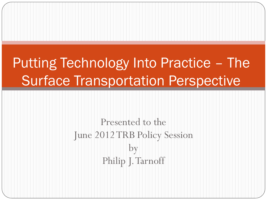# Putting Technology Into Practice – The Surface Transportation Perspective

Presented to the June 2012 TRB Policy Session by Philip J. Tarnoff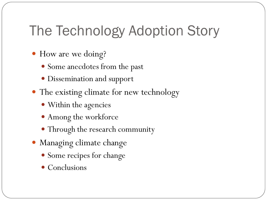### The Technology Adoption Story

- How are we doing?
	- Some anecdotes from the past
	- Dissemination and support
- The existing climate for new technology
	- Within the agencies
	- Among the workforce
	- Through the research community
- Managing climate change
	- Some recipes for change
	- Conclusions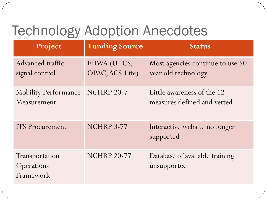## Technology Adoption Anecdotes

| Project                                    | <b>Funding Source</b>          | <b>Status</b>                                             |
|--------------------------------------------|--------------------------------|-----------------------------------------------------------|
| Advanced traffic<br>signal control         | FHWA (UTCS,<br>OPAC, ACS-Lite) | Most agencies continue to use 50<br>year old technology   |
| <b>Mobility Performance</b><br>Measurement | <b>NCHRP 20-7</b>              | Little awareness of the 12<br>measures defined and vetted |
| <b>ITS</b> Procurement                     | <b>NCHRP 3-77</b>              | Interactive website no longer<br>supported                |
| Transportation<br>Operations<br>Framework  | <b>NCHRP 20-77</b>             | Database of available training<br>unsupported             |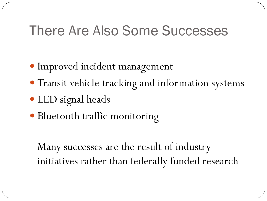### There Are Also Some Successes

- Improved incident management
- Transit vehicle tracking and information systems
- LED signal heads
- Bluetooth traffic monitoring

Many successes are the result of industry initiatives rather than federally funded research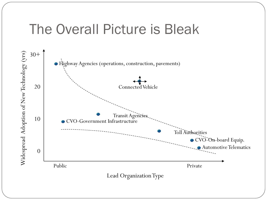### The Overall Picture is Bleak

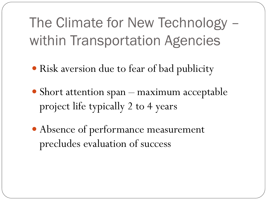The Climate for New Technology – within Transportation Agencies

- Risk aversion due to fear of bad publicity
- Short attention span maximum acceptable project life typically 2 to 4 years
- Absence of performance measurement precludes evaluation of success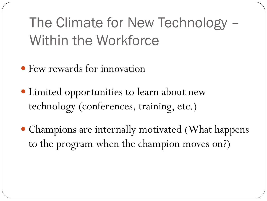The Climate for New Technology – Within the Workforce

- Few rewards for innovation
- Limited opportunities to learn about new technology (conferences, training, etc.)
- Champions are internally motivated (What happens to the program when the champion moves on?)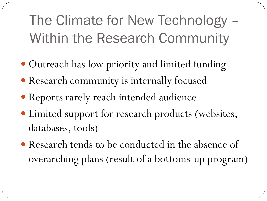The Climate for New Technology – Within the Research Community

- Outreach has low priority and limited funding
- Research community is internally focused
- Reports rarely reach intended audience
- Limited support for research products (websites, databases, tools)
- Research tends to be conducted in the absence of overarching plans (result of a bottoms-up program)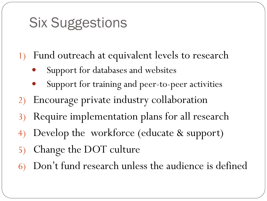## Six Suggestions

- 1) Fund outreach at equivalent levels to research
	- Support for databases and websites
	- Support for training and peer-to-peer activities
- 2) Encourage private industry collaboration
- 3) Require implementation plans for all research
- 4) Develop the workforce (educate & support)
- 5) Change the DOT culture
- 6) Don't fund research unless the audience is defined